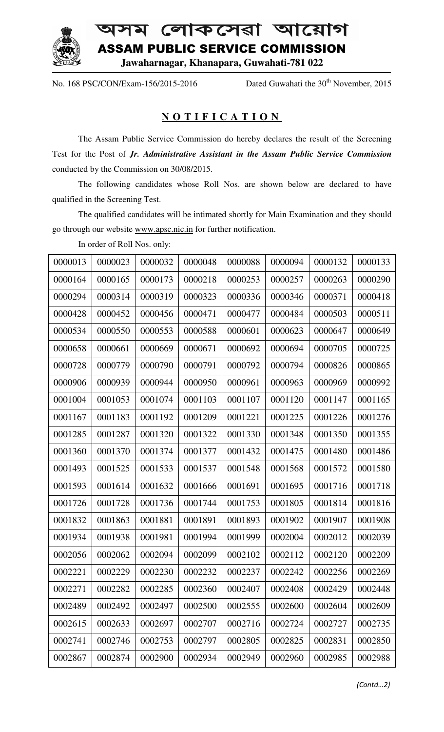

অসম লোকসেৱা আয়োগ ASSAM PUBLIC SERVICE COMMISSION **Jawaharnagar, Khanapara, Guwahati Guwahati-781 022**

No. 168 PSC/CON/Exam-156/2015-2016 Dated Guwahati the

 $30<sup>th</sup>$  November, 2015

## **N O T I F I C A T I O N I I I O**

The Assam Public Service Commission do hereby declares the result of the Screening Test for the Post of *Jr. Administrative Assistant in the Assam Public Service Commission* conducted by the Commission on 30/08/2015.

The following candidates whose Roll Nos. are shown below are declared to have qualified in the Screening Test. The following candidates whose Roll Nos. are shown below are declared to have<br>d in the Screening Test.<br>The qualified candidates will be intimated shortly for Main Examination and they should

The qualified candidates will be intimated shortly for M<br>go through our website www.apsc.nic.in for further notification.

In order of Roll No Nos. only:

| 0000013 | 0000023 | 0000032 | 0000048 | 0000088 | 0000094 | 0000132 | 0000133 |
|---------|---------|---------|---------|---------|---------|---------|---------|
| 0000164 | 0000165 | 0000173 | 0000218 | 0000253 | 0000257 | 0000263 | 0000290 |
| 0000294 | 0000314 | 0000319 | 0000323 | 0000336 | 0000346 | 0000371 | 0000418 |
| 0000428 | 0000452 | 0000456 | 0000471 | 0000477 | 0000484 | 0000503 | 0000511 |
| 0000534 | 0000550 | 0000553 | 0000588 | 0000601 | 0000623 | 0000647 | 0000649 |
| 0000658 | 0000661 | 0000669 | 0000671 | 0000692 | 0000694 | 0000705 | 0000725 |
| 0000728 | 0000779 | 0000790 | 0000791 | 0000792 | 0000794 | 0000826 | 0000865 |
| 0000906 | 0000939 | 0000944 | 0000950 | 0000961 | 0000963 | 0000969 | 0000992 |
| 0001004 | 0001053 | 0001074 | 0001103 | 0001107 | 0001120 | 0001147 | 0001165 |
| 0001167 | 0001183 | 0001192 | 0001209 | 0001221 | 0001225 | 0001226 | 0001276 |
| 0001285 | 0001287 | 0001320 | 0001322 | 0001330 | 0001348 | 0001350 | 0001355 |
| 0001360 | 0001370 | 0001374 | 0001377 | 0001432 | 0001475 | 0001480 | 0001486 |
| 0001493 | 0001525 | 0001533 | 0001537 | 0001548 | 0001568 | 0001572 | 0001580 |
| 0001593 | 0001614 | 0001632 | 0001666 | 0001691 | 0001695 | 0001716 | 0001718 |
| 0001726 | 0001728 | 0001736 | 0001744 | 0001753 | 0001805 | 0001814 | 0001816 |
| 0001832 | 0001863 | 0001881 | 0001891 | 0001893 | 0001902 | 0001907 | 0001908 |
| 0001934 | 0001938 | 0001981 | 0001994 | 0001999 | 0002004 | 0002012 | 0002039 |
| 0002056 | 0002062 | 0002094 | 0002099 | 0002102 | 0002112 | 0002120 | 0002209 |
| 0002221 | 0002229 | 0002230 | 0002232 | 0002237 | 0002242 | 0002256 | 0002269 |
| 0002271 | 0002282 | 0002285 | 0002360 | 0002407 | 0002408 | 0002429 | 0002448 |
| 0002489 | 0002492 | 0002497 | 0002500 | 0002555 | 0002600 | 0002604 | 0002609 |
| 0002615 | 0002633 | 0002697 | 0002707 | 0002716 | 0002724 | 0002727 | 0002735 |
| 0002741 | 0002746 | 0002753 | 0002797 | 0002805 | 0002825 | 0002831 | 0002850 |
| 0002867 | 0002874 | 0002900 | 0002934 | 0002949 | 0002960 | 0002985 | 0002988 |